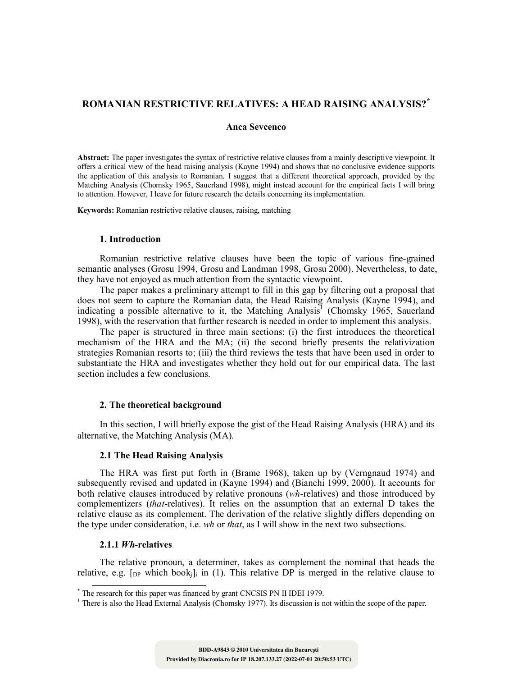# **ROMANIAN RESTRICTIVE RELATIVES: A HEAD RAISING ANALYSIS?\***

## **Anca Sevcenco**

**Abstract:** The paper investigates the syntax of restrictive relative clauses from a mainly descriptive viewpoint. It offers a critical view of the head raising analysis (Kayne 1994) and shows that no conclusive evidence supports the application of this analysis to Romanian. I suggest that a different theoretical approach, provided by the Matching Analysis (Chomsky 1965, Sauerland 1998), might instead account for the empirical facts I will bring to attention. However, I leave for future research the details concerning its implementation.

**Keywords:** Romanian restrictive relative clauses, raising, matching

### **1. Introduction**

Romanian restrictive relative clauses have been the topic of various fine-grained semantic analyses (Grosu 1994, Grosu and Landman 1998, Grosu 2000). Nevertheless, to date, they have not enjoyed as much attention from the syntactic viewpoint.

The paper makes a preliminary attempt to fill in this gap by filtering out a proposal that does not seem to capture the Romanian data, the Head Raising Analysis (Kayne 1994), and indicating a possible alternative to it, the Matching Analysis<sup>1</sup> (Chomsky 1965, Sauerland 1998), with the reservation that further research is needed in order to implement this analysis.

The paper is structured in three main sections: (i) the first introduces the theoretical mechanism of the HRA and the MA; (ii) the second briefly presents the relativization strategies Romanian resorts to; (iii) the third reviews the tests that have been used in order to substantiate the HRA and investigates whether they hold out for our empirical data. The last section includes a few conclusions.

## **2. The theoretical background**

In this section, I will briefly expose the gist of the Head Raising Analysis (HRA) and its alternative, the Matching Analysis (MA).

### **2.1 The Head Raising Analysis**

The HRA was first put forth in (Brame 1968), taken up by (Verngnaud 1974) and subsequently revised and updated in (Kayne 1994) and (Bianchi 1999, 2000). It accounts for both relative clauses introduced by relative pronouns (*wh*-relatives) and those introduced by complementizers (*that*-relatives). It relies on the assumption that an external D takes the relative clause as its complement. The derivation of the relative slightly differs depending on the type under consideration, i.e. *wh* or *that*, as I will show in the next two subsections.

### **2.1.1** *Wh***-relatives**

The relative pronoun, a determiner, takes as complement the nominal that heads the relative, e.g.  $[p_{P}$  which book<sub>i</sub>]<sub>i</sub> in (1). This relative DP is merged in the relative clause to

\* The research for this paper was financed by grant CNCSIS PN II IDEI 1979.

<sup>&</sup>lt;sup>1</sup> There is also the Head External Analysis (Chomsky 1977). Its discussion is not within the scope of the paper.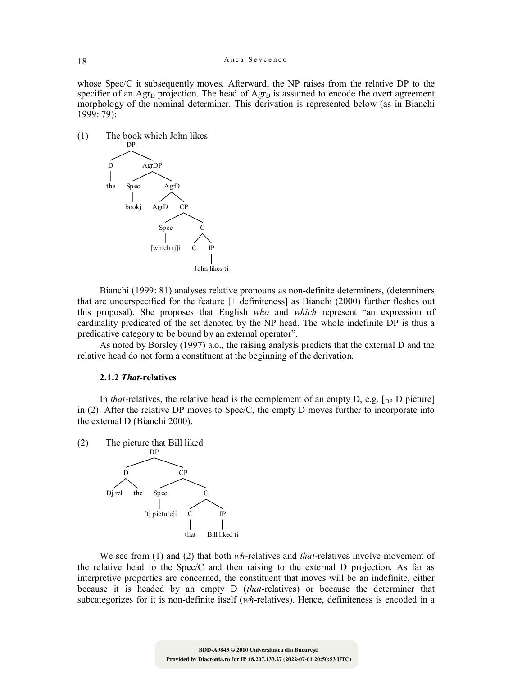whose Spec/C it subsequently moves. Afterward, the NP raises from the relative DP to the specifier of an Agr<sub>D</sub> projection. The head of Agr<sub>D</sub> is assumed to encode the overt agreement morphology of the nominal determiner. This derivation is represented below (as in Bianchi 1999: 79):

(1) The book which John likes



Bianchi (1999: 81) analyses relative pronouns as non-definite determiners, (determiners that are underspecified for the feature [+ definiteness] as Bianchi (2000) further fleshes out this proposal). She proposes that English *who* and *which* represent "an expression of cardinality predicated of the set denoted by the NP head. The whole indefinite DP is thus a predicative category to be bound by an external operator".

As noted by Borsley (1997) a.o., the raising analysis predicts that the external D and the relative head do not form a constituent at the beginning of the derivation.

# **2.1.2** *That***-relatives**

In *that*-relatives, the relative head is the complement of an empty D, e.g.  $\lceil_{DP} D \rceil$  picture] in (2). After the relative DP moves to Spec/C, the empty D moves further to incorporate into the external D (Bianchi 2000).

(2) The picture that Bill liked



We see from (1) and (2) that both *wh*-relatives and *that*-relatives involve movement of the relative head to the Spec/C and then raising to the external D projection. As far as interpretive properties are concerned, the constituent that moves will be an indefinite, either because it is headed by an empty D (*that*-relatives) or because the determiner that subcategorizes for it is non-definite itself (*wh*-relatives). Hence, definiteness is encoded in a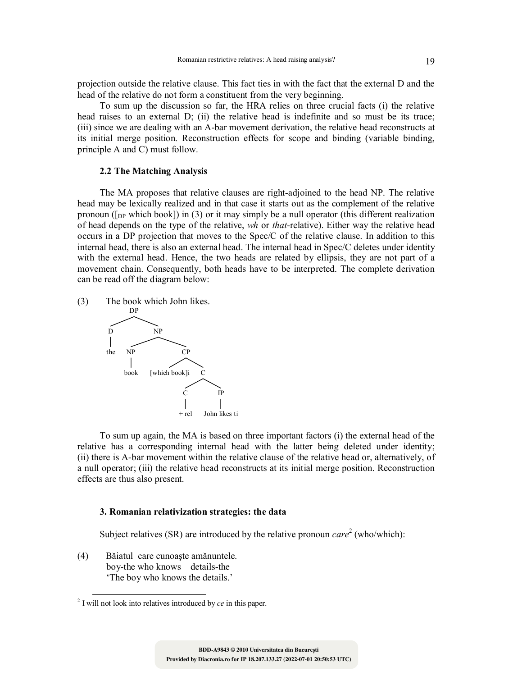projection outside the relative clause. This fact ties in with the fact that the external D and the head of the relative do not form a constituent from the very beginning.

To sum up the discussion so far, the HRA relies on three crucial facts (i) the relative head raises to an external D; (ii) the relative head is indefinite and so must be its trace; (iii) since we are dealing with an A-bar movement derivation, the relative head reconstructs at its initial merge position. Reconstruction effects for scope and binding (variable binding, principle A and C) must follow.

## **2.2 The Matching Analysis**

The MA proposes that relative clauses are right-adjoined to the head NP. The relative head may be lexically realized and in that case it starts out as the complement of the relative pronoun ( $\lceil_{DP}$  which book]) in (3) or it may simply be a null operator (this different realization of head depends on the type of the relative, *wh* or *that*-relative). Either way the relative head occurs in a DP projection that moves to the Spec/C of the relative clause. In addition to this internal head, there is also an external head. The internal head in Spec/C deletes under identity with the external head. Hence, the two heads are related by ellipsis, they are not part of a movement chain. Consequently, both heads have to be interpreted. The complete derivation can be read off the diagram below:

(3) The book which John likes.



To sum up again, the MA is based on three important factors (i) the external head of the relative has a corresponding internal head with the latter being deleted under identity; (ii) there is A-bar movement within the relative clause of the relative head or, alternatively, of a null operator; (iii) the relative head reconstructs at its initial merge position. Reconstruction effects are thus also present.

### **3. Romanian relativization strategies: the data**

Subject relatives (SR) are introduced by the relative pronoun *care*<sup>2</sup> (who/which):

(4) Băiatul care cunoaşte amănuntele. boy-the who knows details-the 'The boy who knows the details.'

<sup>&</sup>lt;sup>2</sup> I will not look into relatives introduced by *ce* in this paper.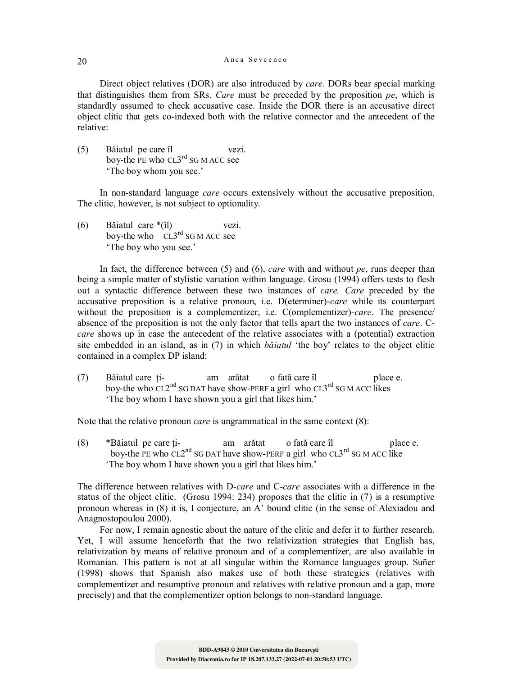20 A n c a S e v c e n c o

Direct object relatives (DOR) are also introduced by *care*. DORs bear special marking that distinguishes them from SRs. *Care* must be preceded by the preposition *pe*, which is standardly assumed to check accusative case. Inside the DOR there is an accusative direct object clitic that gets co-indexed both with the relative connector and the antecedent of the relative:

(5) Băiatul pe care îl vezi. boy-the PE who CL3<sup>rd</sup> SG M ACC see 'The boy whom you see.'

In non-standard language *care* occurs extensively without the accusative preposition. The clitic, however, is not subject to optionality.

(6) Băiatul care \*(îl) vezi. boy-the who  $CL3^{rd}$  SG M ACC see 'The boy who you see.'

In fact, the difference between (5) and (6), *care* with and without *pe*, runs deeper than being a simple matter of stylistic variation within language. Grosu (1994) offers tests to flesh out a syntactic difference between these two instances of *care. Care* preceded by the accusative preposition is a relative pronoun, i.e. D(eterminer)-*care* while its counterpart without the preposition is a complementizer, i.e. C(omplementizer)-*care*. The presence/ absence of the preposition is not the only factor that tells apart the two instances of *care*. C*care* shows up in case the antecedent of the relative associates with a (potential) extraction site embedded in an island, as in (7) in which *băiatul* 'the boy' relates to the object clitic contained in a complex DP island:

(7) Băiatul care ţi- am arătat o fată care îl place e. boy-the who CL2<sup>nd</sup> SG DAT have show-PERF a girl who CL3<sup>rd</sup> SG M ACC likes 'The boy whom I have shown you a girl that likes him.'

Note that the relative pronoun *care* is ungrammatical in the same context (8):

(8) \*Băiatul pe care ţi- am arătat o fată care îl place e. boy-the PE who  $CL2<sup>nd</sup>$  SG DAT have show-PERF a girl who  $CL3<sup>rd</sup>$  SG M ACC like 'The boy whom I have shown you a girl that likes him.'

The difference between relatives with D-*care* and C-*care* associates with a difference in the status of the object clitic. (Grosu 1994: 234) proposes that the clitic in (7) is a resumptive pronoun whereas in (8) it is, I conjecture, an A' bound clitic (in the sense of Alexiadou and Anagnostopoulou 2000).

For now, I remain agnostic about the nature of the clitic and defer it to further research. Yet, I will assume henceforth that the two relativization strategies that English has, relativization by means of relative pronoun and of a complementizer, are also available in Romanian. This pattern is not at all singular within the Romance languages group. Suñer (1998) shows that Spanish also makes use of both these strategies (relatives with complementizer and resumptive pronoun and relatives with relative pronoun and a gap, more precisely) and that the complementizer option belongs to non-standard language.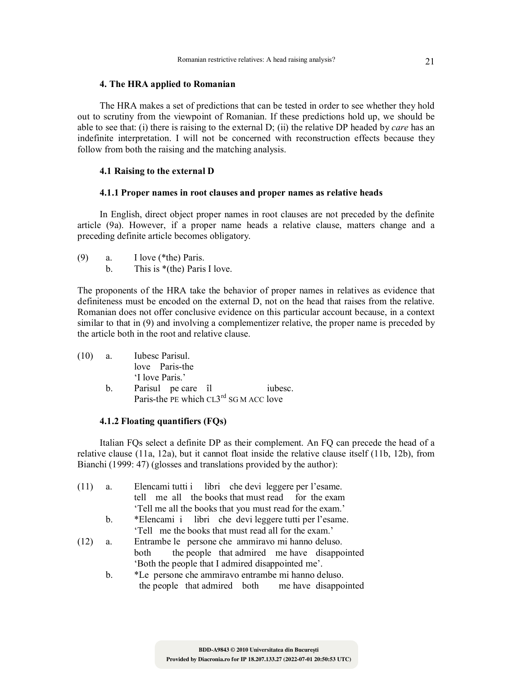### **4. The HRA applied to Romanian**

The HRA makes a set of predictions that can be tested in order to see whether they hold out to scrutiny from the viewpoint of Romanian. If these predictions hold up, we should be able to see that: (i) there is raising to the external D; (ii) the relative DP headed by *care* has an indefinite interpretation. I will not be concerned with reconstruction effects because they follow from both the raising and the matching analysis.

## **4.1 Raising to the external D**

## **4.1.1 Proper names in root clauses and proper names as relative heads**

In English, direct object proper names in root clauses are not preceded by the definite article (9a). However, if a proper name heads a relative clause, matters change and a preceding definite article becomes obligatory.

| (9)<br>а. | I love (*the) Paris. |  |
|-----------|----------------------|--|
|-----------|----------------------|--|

b. This is \*(the) Paris I love.

The proponents of the HRA take the behavior of proper names in relatives as evidence that definiteness must be encoded on the external D, not on the head that raises from the relative. Romanian does not offer conclusive evidence on this particular account because, in a context similar to that in (9) and involving a complementizer relative, the proper name is preceded by the article both in the root and relative clause.

| (10) | a. | Iubesc Parisul.                             |
|------|----|---------------------------------------------|
|      |    | love Paris-the                              |
|      |    | 'I love Paris.'                             |
|      | h. | Parisul pe care îl<br>jubesc.               |
|      |    | Paris-the PE which $CL3^{rd}$ SG M ACC love |

# **4.1.2 Floating quantifiers (FQs)**

Italian FQs select a definite DP as their complement. An FQ can precede the head of a relative clause (11a, 12a), but it cannot float inside the relative clause itself (11b, 12b), from Bianchi (1999: 47) (glosses and translations provided by the author):

| (11) | a.             | Elencami tutti i libri che devi leggere per l'esame.     |
|------|----------------|----------------------------------------------------------|
|      |                | tell me all the books that must read for the exam        |
|      |                | 'Tell me all the books that you must read for the exam.' |
|      | $b_{\cdot}$    | *Elencami i libri che devi leggere tutti per l'esame.    |
|      |                | 'Tell me the books that must read all for the exam.'     |
| (12) | a.             | Entrambe le persone che ammiravo mi hanno deluso.        |
|      |                | both the people that admired me have disappointed        |
|      |                | 'Both the people that I admired disappointed me'.        |
|      | $\mathbf{b}$ . | *Le persone che ammiravo entrambe mi hanno deluso.       |
|      |                | the people that admired both me have disappointed        |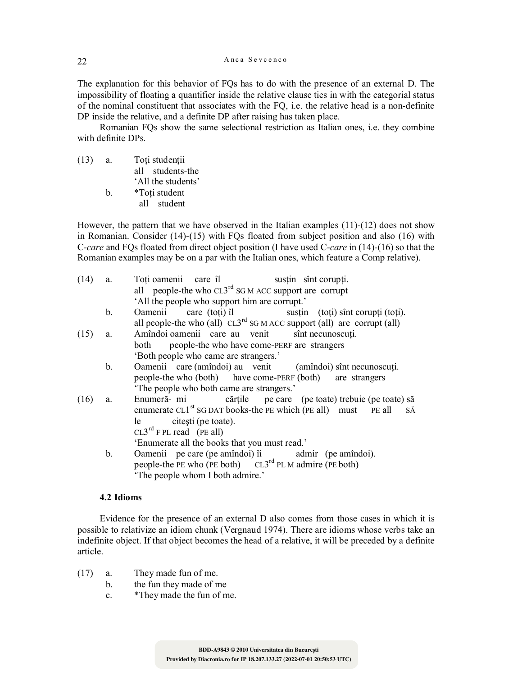The explanation for this behavior of FQs has to do with the presence of an external D. The impossibility of floating a quantifier inside the relative clause ties in with the categorial status of the nominal constituent that associates with the FQ, i.e. the relative head is a non-definite DP inside the relative, and a definite DP after raising has taken place.

Romanian FQs show the same selectional restriction as Italian ones, i.e. they combine with definite DPs.

| (13) | a. | Toți studenții     |
|------|----|--------------------|
|      |    | all students-the   |
|      |    | 'All the students' |
|      | h. | *Toți student      |
|      |    | all student        |
|      |    |                    |

However, the pattern that we have observed in the Italian examples  $(11)-(12)$  does not show in Romanian. Consider (14)-(15) with FQs floated from subject position and also (16) with C-*care* and FQs floated from direct object position (I have used C-*care* in (14)-(16) so that the Romanian examples may be on a par with the Italian ones, which feature a Comp relative).

| (14) | a. | Toti oamenii care îl susțin sînt corupți.                                    |
|------|----|------------------------------------------------------------------------------|
|      |    | all people-the who $CL3^{rd}$ SGM ACC support are corrupt                    |
|      |    | 'All the people who support him are corrupt.'                                |
|      | b. | Oamenii care (toți) îl susțin (toți) sînt corupți (toți).                    |
|      |    | all people-the who (all) $CL3^{rd}$ SG M ACC support (all) are corrupt (all) |
| (15) | a. | Amîndoi oamenii care au venit sînt necunoscuți.                              |
|      |    | people-the who have come-PERF are strangers<br>both                          |
|      |    | 'Both people who came are strangers.'                                        |
|      | b. | Oamenii care (amîndoi) au venit (amîndoi) sînt necunoscuți.                  |
|      |    | people-the who (both) have come-PERF (both) are strangers                    |
|      |    | The people who both came are strangers.'                                     |
| (16) | a. | Enumeră- mi cărțile pe care (pe toate) trebuie (pe toate) să                 |
|      |    | enumerate $CL1st$ SG DAT books-the PE which (PE all) must PE all<br>SĂ       |
|      |    | le citesti (pe toate).                                                       |
|      |    | $CL3^{rd}$ F PL read (PE all)                                                |
|      |    | 'Enumerate all the books that you must read.'                                |
|      | b. | Oamenii pe care (pe amîndoi) îi admir (pe amîndoi).                          |
|      |    | people-the PE who (PE both) $CL3^{rd}$ PL M admire (PE both)                 |
|      |    | 'The people whom I both admire.'                                             |

# **4.2 Idioms**

Evidence for the presence of an external D also comes from those cases in which it is possible to relativize an idiom chunk (Vergnaud 1974). There are idioms whose verbs take an indefinite object. If that object becomes the head of a relative, it will be preceded by a definite article.

- (17) a. They made fun of me.
	- b. the fun they made of me
	- c. \*They made the fun of me.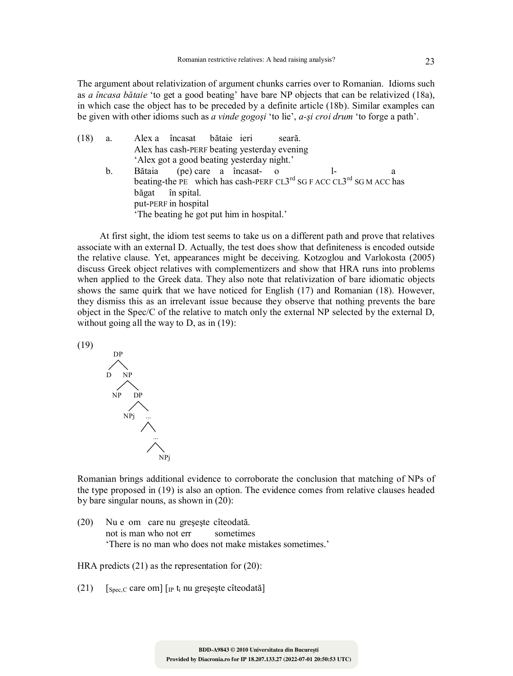The argument about relativization of argument chunks carries over to Romanian. Idioms such as *a încasa bătaie* 'to get a good beating' have bare NP objects that can be relativized (18a), in which case the object has to be preceded by a definite article (18b). Similar examples can be given with other idioms such as *a vinde gogoşi* 'to lie', *a-şi croi drum* 'to forge a path'.

| (18) | a. | Alex a încasat bătaie ieri<br>seară.                                           |
|------|----|--------------------------------------------------------------------------------|
|      |    | Alex has cash-PERF beating yesterday evening                                   |
|      |    | 'Alex got a good beating yesterday night.'                                     |
|      | b. | $(pe)$ care a încasat- o<br>Bătaia                                             |
|      |    | beating-the PE which has cash-PERF $CL3^{rd}$ SG F ACC $CL3^{rd}$ SG M ACC has |
|      |    | băgat în spital.                                                               |
|      |    | put-PERF in hospital                                                           |
|      |    | The beating he got put him in hospital.'                                       |

At first sight, the idiom test seems to take us on a different path and prove that relatives associate with an external D. Actually, the test does show that definiteness is encoded outside the relative clause. Yet, appearances might be deceiving. Kotzoglou and Varlokosta (2005) discuss Greek object relatives with complementizers and show that HRA runs into problems when applied to the Greek data. They also note that relativization of bare idiomatic objects shows the same quirk that we have noticed for English (17) and Romanian (18). However, they dismiss this as an irrelevant issue because they observe that nothing prevents the bare object in the Spec/C of the relative to match only the external NP selected by the external D, without going all the way to D, as in  $(19)$ :





Romanian brings additional evidence to corroborate the conclusion that matching of NPs of the type proposed in (19) is also an option. The evidence comes from relative clauses headed by bare singular nouns, as shown in (20):

(20) Nu e om care nu greşeşte cîteodată. not is man who not err sometimes 'There is no man who does not make mistakes sometimes.'

HRA predicts (21) as the representation for (20):

(21)  $\int_{\text{Spec},C} \text{care om} \left| \int_{\text{IP}} t_i \text{ nu greșește cîteodată} \right|$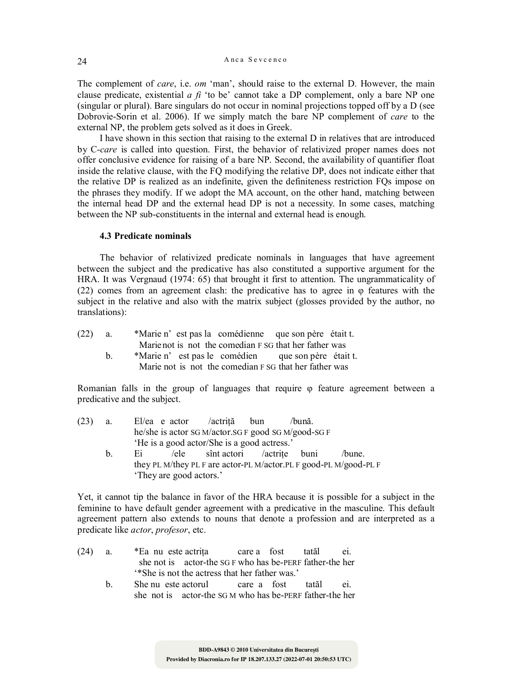The complement of *care*, i.e. *om* 'man', should raise to the external D. However, the main clause predicate, existential *a fi* 'to be' cannot take a DP complement, only a bare NP one (singular or plural). Bare singulars do not occur in nominal projections topped off by a D (see Dobrovie-Sorin et al. 2006). If we simply match the bare NP complement of *care* to the external NP, the problem gets solved as it does in Greek.

I have shown in this section that raising to the external D in relatives that are introduced by C-*care* is called into question. First, the behavior of relativized proper names does not offer conclusive evidence for raising of a bare NP. Second, the availability of quantifier float inside the relative clause, with the FQ modifying the relative DP, does not indicate either that the relative DP is realized as an indefinite, given the definiteness restriction FQs impose on the phrases they modify. If we adopt the MA account, on the other hand, matching between the internal head DP and the external head DP is not a necessity. In some cases, matching between the NP sub-constituents in the internal and external head is enough.

## **4.3 Predicate nominals**

The behavior of relativized predicate nominals in languages that have agreement between the subject and the predicative has also constituted a supportive argument for the HRA. It was Vergnaud (1974: 65) that brought it first to attention. The ungrammaticality of (22) comes from an agreement clash: the predicative has to agree in φ features with the subject in the relative and also with the matrix subject (glosses provided by the author, no translations):

| (22) | а. |  | *Marie n' est pas la comédienne que son père était t. |  |
|------|----|--|-------------------------------------------------------|--|
|      |    |  | Marie not is not the comedian FSG that her father was |  |
|      |    |  | *Marie n' est pas le comédien que son père était t.   |  |
|      |    |  | Marie not is not the comedian FSG that her father was |  |

Romanian falls in the group of languages that require φ feature agreement between a predicative and the subject.

| (23) | a. | $El/ea$ e actor         | actriță bun                                                       |                           | /bună. |           |
|------|----|-------------------------|-------------------------------------------------------------------|---------------------------|--------|-----------|
|      |    |                         | he/she is actor SG M/actor.SG F good SG M/good-SG F               |                           |        |           |
|      |    |                         | 'He is a good actor/She is a good actress.'                       |                           |        |           |
|      | h. | Ei.                     | /ele                                                              | sînt actori /actrite buni |        | $/b$ une. |
|      |    |                         | they PL M/they PL F are actor-PL M/actor.PL F good-PL M/good-PL F |                           |        |           |
|      |    | 'They are good actors.' |                                                                   |                           |        |           |

Yet, it cannot tip the balance in favor of the HRA because it is possible for a subject in the feminine to have default gender agreement with a predicative in the masculine. This default agreement pattern also extends to nouns that denote a profession and are interpreted as a predicate like *actor*, *profesor*, etc.

| (24) | a. |  | *Ea nu este actrita                                     |  | care a fost | tatăl | e <sub>1</sub> |
|------|----|--|---------------------------------------------------------|--|-------------|-------|----------------|
|      |    |  | she not is actor-the SGF who has be-PERF father-the her |  |             |       |                |
|      |    |  | *She is not the actress that her father was.'           |  |             |       |                |

b. She nu este actorul care a fost tatăl ei. she not is actor-the SG M who has be-PERF father-the her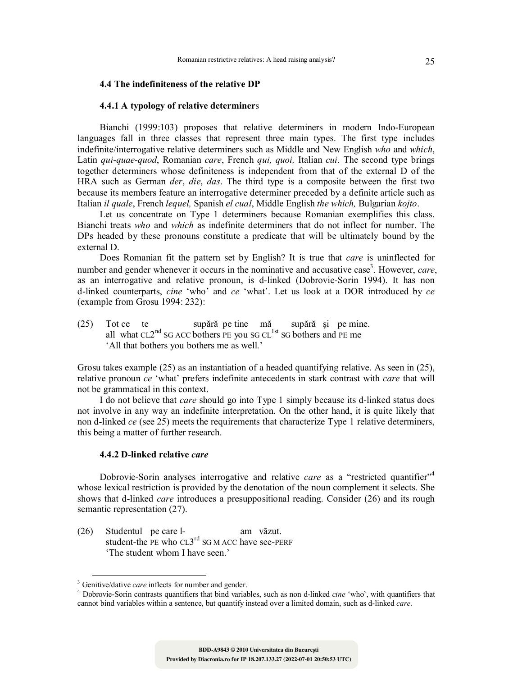#### **4.4 The indefiniteness of the relative DP**

#### **4.4.1 A typology of relative determiner**s

Bianchi (1999:103) proposes that relative determiners in modern Indo-European languages fall in three classes that represent three main types. The first type includes indefinite/interrogative relative determiners such as Middle and New English *who* and *which*, Latin *qui-quae-quod*, Romanian *care*, French *qui, quoi,* Italian *cui*. The second type brings together determiners whose definiteness is independent from that of the external D of the HRA such as German *der*, *die*, *das*. The third type is a composite between the first two because its members feature an interrogative determiner preceded by a definite article such as Italian *il quale*, French *lequel,* Spanish *el cual*, Middle English *the which,* Bulgarian *kojto*.

Let us concentrate on Type 1 determiners because Romanian exemplifies this class. Bianchi treats *who* and *which* as indefinite determiners that do not inflect for number. The DPs headed by these pronouns constitute a predicate that will be ultimately bound by the external D.

Does Romanian fit the pattern set by English? It is true that *care* is uninflected for number and gender whenever it occurs in the nominative and accusative case<sup>3</sup>. However, *care*, as an interrogative and relative pronoun, is d-linked (Dobrovie-Sorin 1994). It has non d-linked counterparts, *cine* 'who' and *ce* 'what'. Let us look at a DOR introduced by *ce* (example from Grosu 1994: 232):

(25) Tot ce te supără pe tine mă supără şi pe mine. all what  $CL2<sup>nd</sup>$  SG ACC bothers PE you SG  $CL<sup>1st</sup>$  SG bothers and PE me 'All that bothers you bothers me as well.'

Grosu takes example (25) as an instantiation of a headed quantifying relative. As seen in (25), relative pronoun *ce* 'what' prefers indefinite antecedents in stark contrast with *care* that will not be grammatical in this context.

I do not believe that *care* should go into Type 1 simply because its d-linked status does not involve in any way an indefinite interpretation. On the other hand, it is quite likely that non d-linked *ce* (see 25) meets the requirements that characterize Type 1 relative determiners, this being a matter of further research.

#### **4.4.2 D-linked relative** *care*

Dobrovie-Sorin analyses interrogative and relative *care* as a "restricted quantifier"<sup>4</sup> whose lexical restriction is provided by the denotation of the noun complement it selects. She shows that d-linked *care* introduces a presuppositional reading. Consider (26) and its rough semantic representation (27).

(26) Studentul pe care l- am văzut. student-the PE who  $CL3^{rd}$  SG M ACC have see-PERF 'The student whom I have seen.'

<sup>&</sup>lt;sup>3</sup> Genitive/dative *care* inflects for number and gender.

Dobrovie-Sorin contrasts quantifiers that bind variables, such as non d-linked *cine* 'who', with quantifiers that cannot bind variables within a sentence, but quantify instead over a limited domain, such as d-linked *care*.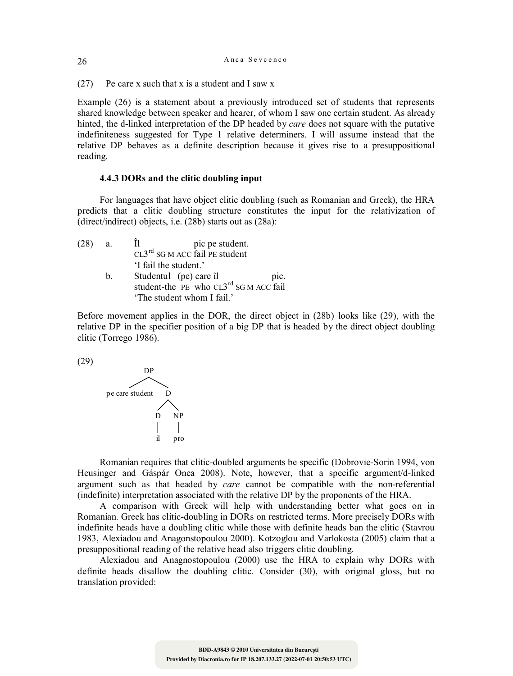(27) Pe care x such that x is a student and I saw x

Example (26) is a statement about a previously introduced set of students that represents shared knowledge between speaker and hearer, of whom I saw one certain student. As already hinted, the d-linked interpretation of the DP headed by *care* does not square with the putative indefiniteness suggested for Type 1 relative determiners. I will assume instead that the relative DP behaves as a definite description because it gives rise to a presuppositional reading.

# **4.4.3 DORs and the clitic doubling input**

For languages that have object clitic doubling (such as Romanian and Greek), the HRA predicts that a clitic doubling structure constitutes the input for the relativization of (direct/indirect) objects, i.e. (28b) starts out as (28a):

| (28) | a. | pic pe student.                                    |
|------|----|----------------------------------------------------|
|      |    | $CL3rd$ SG M ACC fail PE student                   |
|      |    | 'I fail the student.'                              |
|      | h. | Studentul (pe) care îl<br>pic.                     |
|      |    | student-the PE who CL3 <sup>rd</sup> SG M ACC fail |
|      |    | 'The student whom I fail.'                         |

Before movement applies in the DOR, the direct object in (28b) looks like (29), with the relative DP in the specifier position of a big DP that is headed by the direct object doubling clitic (Torrego 1986).

(29)



Romanian requires that clitic-doubled arguments be specific (Dobrovie-Sorin 1994, von Heusinger and Gáspár Onea 2008). Note, however, that a specific argument/d-linked argument such as that headed by *care* cannot be compatible with the non-referential (indefinite) interpretation associated with the relative DP by the proponents of the HRA.

A comparison with Greek will help with understanding better what goes on in Romanian. Greek has clitic-doubling in DORs on restricted terms. More precisely DORs with indefinite heads have a doubling clitic while those with definite heads ban the clitic (Stavrou 1983, Alexiadou and Anagonstopoulou 2000). Kotzoglou and Varlokosta (2005) claim that a presuppositional reading of the relative head also triggers clitic doubling.

Alexiadou and Anagnostopoulou (2000) use the HRA to explain why DORs with definite heads disallow the doubling clitic. Consider (30), with original gloss, but no translation provided: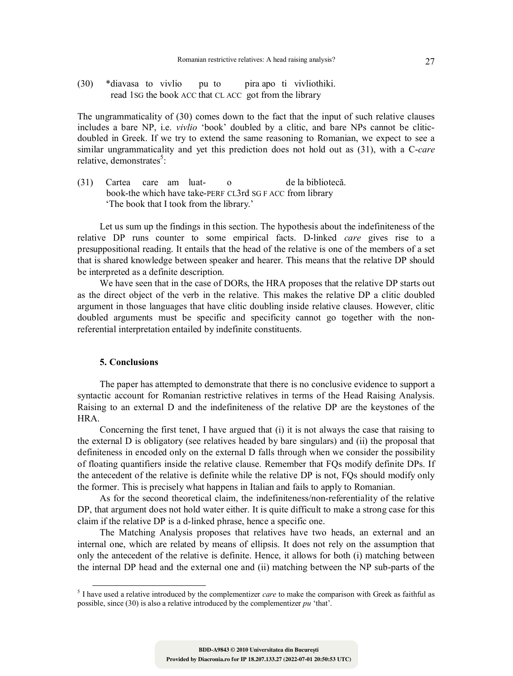(30) \*diavasa to vivlio pu to pira apo ti vivliothiki. read 1SG the book ACC that CL ACC got from the library

The ungrammaticality of (30) comes down to the fact that the input of such relative clauses includes a bare NP, i.e. *vivlio* 'book' doubled by a clitic, and bare NPs cannot be cliticdoubled in Greek. If we try to extend the same reasoning to Romanian, we expect to see a similar ungrammaticality and yet this prediction does not hold out as (31), with a C-*care* relative, demonstrates<sup>5</sup>:

(31) Cartea care am luat- o de la bibliotecă. book-the which have take-PERF CL3rd SG F ACC from library 'The book that I took from the library.'

Let us sum up the findings in this section. The hypothesis about the indefiniteness of the relative DP runs counter to some empirical facts. D-linked *care* gives rise to a presuppositional reading. It entails that the head of the relative is one of the members of a set that is shared knowledge between speaker and hearer. This means that the relative DP should be interpreted as a definite description.

We have seen that in the case of DORs, the HRA proposes that the relative DP starts out as the direct object of the verb in the relative. This makes the relative DP a clitic doubled argument in those languages that have clitic doubling inside relative clauses. However, clitic doubled arguments must be specific and specificity cannot go together with the nonreferential interpretation entailed by indefinite constituents.

# **5. Conclusions**

The paper has attempted to demonstrate that there is no conclusive evidence to support a syntactic account for Romanian restrictive relatives in terms of the Head Raising Analysis. Raising to an external D and the indefiniteness of the relative DP are the keystones of the HRA.

Concerning the first tenet, I have argued that (i) it is not always the case that raising to the external D is obligatory (see relatives headed by bare singulars) and (ii) the proposal that definiteness in encoded only on the external D falls through when we consider the possibility of floating quantifiers inside the relative clause. Remember that FQs modify definite DPs. If the antecedent of the relative is definite while the relative DP is not, FQs should modify only the former. This is precisely what happens in Italian and fails to apply to Romanian.

As for the second theoretical claim, the indefiniteness/non-referentiality of the relative DP, that argument does not hold water either. It is quite difficult to make a strong case for this claim if the relative DP is a d-linked phrase, hence a specific one.

The Matching Analysis proposes that relatives have two heads, an external and an internal one, which are related by means of ellipsis. It does not rely on the assumption that only the antecedent of the relative is definite. Hence, it allows for both (i) matching between the internal DP head and the external one and (ii) matching between the NP sub-parts of the

<sup>&</sup>lt;sup>5</sup> I have used a relative introduced by the complementizer *care* to make the comparison with Greek as faithful as possible, since (30) is also a relative introduced by the complementizer *pu* 'that'.